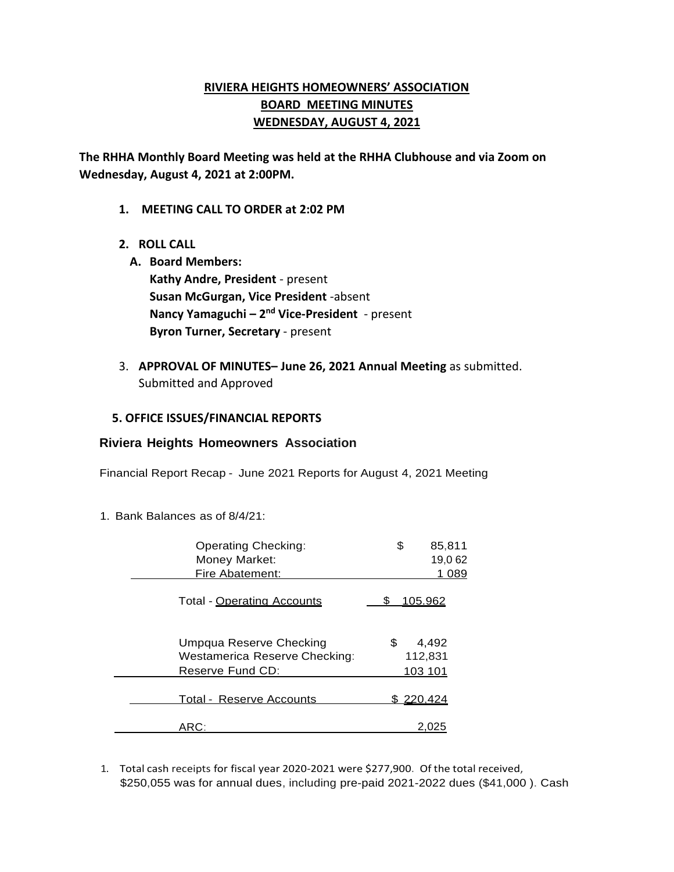# **RIVIERA HEIGHTS HOMEOWNERS' ASSOCIATION BOARD MEETING MINUTES WEDNESDAY, AUGUST 4, 2021**

**The RHHA Monthly Board Meeting was held at the RHHA Clubhouse and via Zoom on Wednesday, August 4, 2021 at 2:00PM.** 

- **1. MEETING CALL TO ORDER at 2:02 PM**
- **2. ROLL CALL**
	- **A. Board Members: Kathy Andre, President** - present **Susan McGurgan, Vice President** -absent **Nancy Yamaguchi – 2 nd Vice-President** - present **Byron Turner, Secretary** - present
- 3. **APPROVAL OF MINUTES– June 26, 2021 Annual Meeting** as submitted. Submitted and Approved

#### **5. OFFICE ISSUES/FINANCIAL REPORTS**

#### **Riviera Heights Homeowners Association**

Financial Report Recap - June 2021 Reports for August 4, 2021 Meeting

1. Bank Balances as of 8/4/21:

| <b>Operating Checking:</b>                               | \$<br>85,811           |
|----------------------------------------------------------|------------------------|
| Money Market:                                            | 19,062                 |
| Fire Abatement:                                          | 1 089                  |
| Total - Operating Accounts                               | 105.962                |
| Umpqua Reserve Checking<br>Westamerica Reserve Checking: | \$<br>4,492<br>112,831 |
| Reserve Fund CD:                                         | 103 101                |
| Total - Reserve Accounts                                 | <u>\$220,424</u>       |
| ARC:                                                     | 2.025                  |

1. Total cash receipts for fiscal year 2020-2021 were \$277,900. Of the total received, \$250,055 was for annual dues, including pre-paid 2021-2022 dues (\$41,000 ). Cash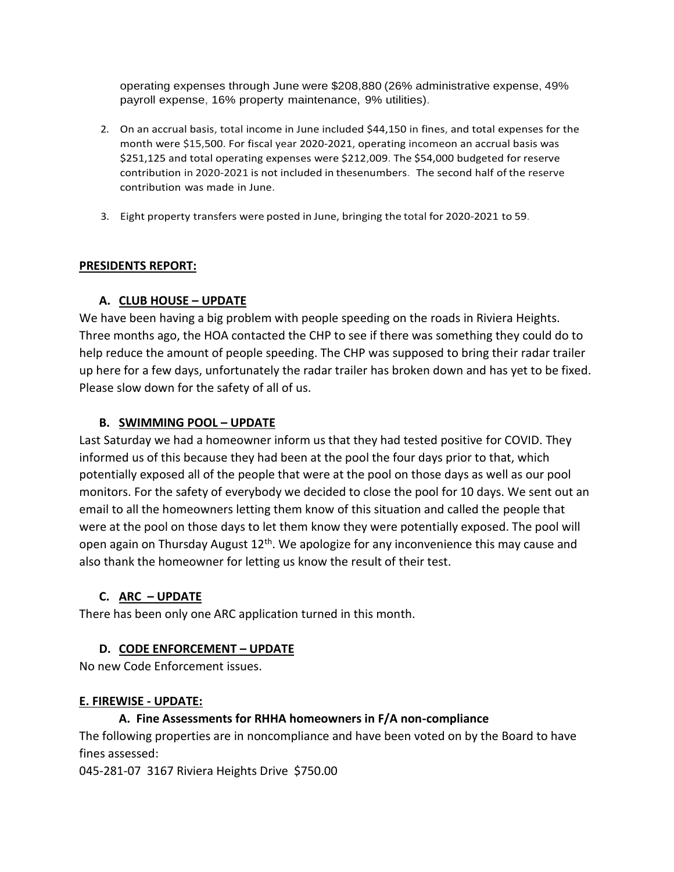operating expenses through June were \$208,880 (26% administrative expense, 49% payroll expense, 16% property maintenance, 9% utilities).

- 2. On an accrual basis, total income in June included \$44,150 in fines, and total expenses for the month were \$15,500. For fiscal year 2020-2021, operating incomeon an accrual basis was \$251,125 and total operating expenses were \$212,009. The \$54,000 budgeted for reserve contribution in 2020-2021 is not included in thesenumbers. The second half of the reserve contribution was made in June.
- 3. Eight property transfers were posted in June, bringing the total for 2020-2021 to 59.

### **PRESIDENTS REPORT:**

# **A. CLUB HOUSE – UPDATE**

We have been having a big problem with people speeding on the roads in Riviera Heights. Three months ago, the HOA contacted the CHP to see if there was something they could do to help reduce the amount of people speeding. The CHP was supposed to bring their radar trailer up here for a few days, unfortunately the radar trailer has broken down and has yet to be fixed. Please slow down for the safety of all of us.

### **B. SWIMMING POOL – UPDATE**

Last Saturday we had a homeowner inform us that they had tested positive for COVID. They informed us of this because they had been at the pool the four days prior to that, which potentially exposed all of the people that were at the pool on those days as well as our pool monitors. For the safety of everybody we decided to close the pool for 10 days. We sent out an email to all the homeowners letting them know of this situation and called the people that were at the pool on those days to let them know they were potentially exposed. The pool will open again on Thursday August 12<sup>th</sup>. We apologize for any inconvenience this may cause and also thank the homeowner for letting us know the result of their test.

#### **C. ARC – UPDATE**

There has been only one ARC application turned in this month.

#### **D. CODE ENFORCEMENT – UPDATE**

No new Code Enforcement issues.

#### **E. FIREWISE - UPDATE:**

# **A. Fine Assessments for RHHA homeowners in F/A non-compliance**

The following properties are in noncompliance and have been voted on by the Board to have fines assessed:

045-281-07 3167 Riviera Heights Drive \$750.00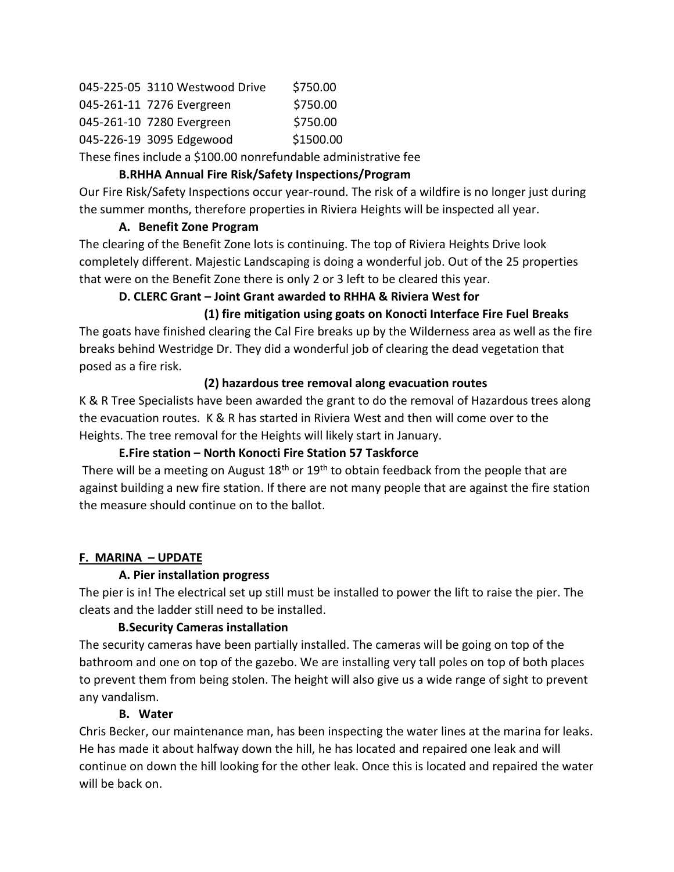| 045-225-05 3110 Westwood Drive | \$750.00  |
|--------------------------------|-----------|
| 045-261-11 7276 Evergreen      | \$750.00  |
| 045-261-10 7280 Evergreen      | \$750.00  |
| 045-226-19 3095 Edgewood       | \$1500.00 |

These fines include a \$100.00 nonrefundable administrative fee

## **B.RHHA Annual Fire Risk/Safety Inspections/Program**

Our Fire Risk/Safety Inspections occur year-round. The risk of a wildfire is no longer just during the summer months, therefore properties in Riviera Heights will be inspected all year.

### **A. Benefit Zone Program**

The clearing of the Benefit Zone lots is continuing. The top of Riviera Heights Drive look completely different. Majestic Landscaping is doing a wonderful job. Out of the 25 properties that were on the Benefit Zone there is only 2 or 3 left to be cleared this year.

# **D. CLERC Grant – Joint Grant awarded to RHHA & Riviera West for**

# **(1) fire mitigation using goats on Konocti Interface Fire Fuel Breaks**

The goats have finished clearing the Cal Fire breaks up by the Wilderness area as well as the fire breaks behind Westridge Dr. They did a wonderful job of clearing the dead vegetation that posed as a fire risk.

### **(2) hazardous tree removal along evacuation routes**

K & R Tree Specialists have been awarded the grant to do the removal of Hazardous trees along the evacuation routes. K & R has started in Riviera West and then will come over to the Heights. The tree removal for the Heights will likely start in January.

# **E.Fire station – North Konocti Fire Station 57 Taskforce**

There will be a meeting on August  $18<sup>th</sup>$  or  $19<sup>th</sup>$  to obtain feedback from the people that are against building a new fire station. If there are not many people that are against the fire station the measure should continue on to the ballot.

# **F. MARINA – UPDATE**

# **A. Pier installation progress**

The pier is in! The electrical set up still must be installed to power the lift to raise the pier. The cleats and the ladder still need to be installed.

# **B.Security Cameras installation**

The security cameras have been partially installed. The cameras will be going on top of the bathroom and one on top of the gazebo. We are installing very tall poles on top of both places to prevent them from being stolen. The height will also give us a wide range of sight to prevent any vandalism.

# **B. Water**

Chris Becker, our maintenance man, has been inspecting the water lines at the marina for leaks. He has made it about halfway down the hill, he has located and repaired one leak and will continue on down the hill looking for the other leak. Once this is located and repaired the water will be back on.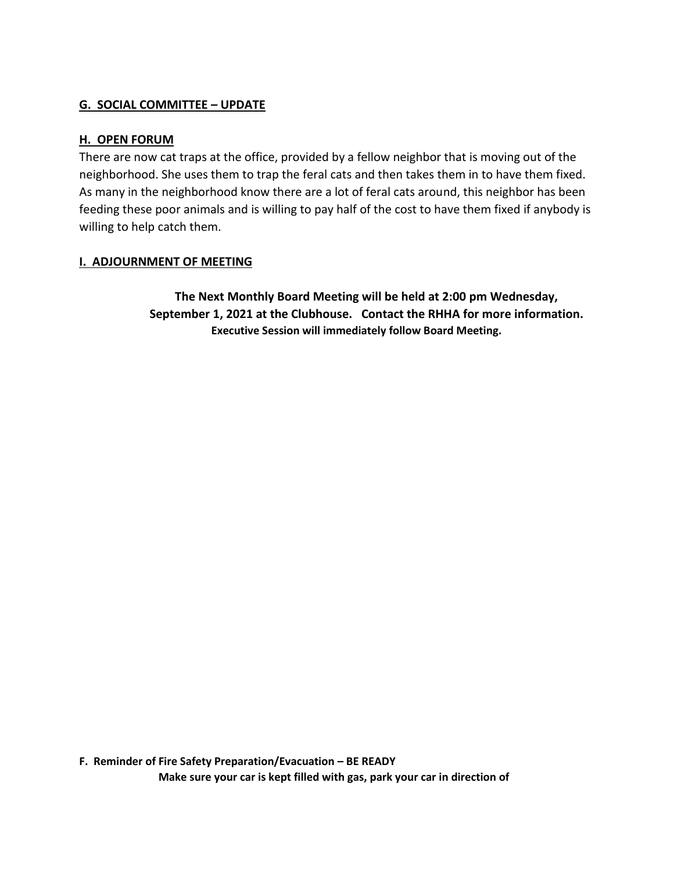#### **G. SOCIAL COMMITTEE – UPDATE**

#### **H. OPEN FORUM**

There are now cat traps at the office, provided by a fellow neighbor that is moving out of the neighborhood. She uses them to trap the feral cats and then takes them in to have them fixed. As many in the neighborhood know there are a lot of feral cats around, this neighbor has been feeding these poor animals and is willing to pay half of the cost to have them fixed if anybody is willing to help catch them.

#### **I. ADJOURNMENT OF MEETING**

**The Next Monthly Board Meeting will be held at 2:00 pm Wednesday, September 1, 2021 at the Clubhouse. Contact the RHHA for more information. Executive Session will immediately follow Board Meeting.**